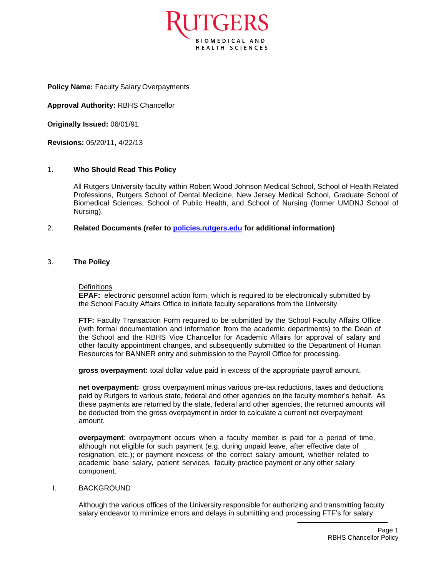

**Policy Name:** Faculty Salary Overpayments

**Approval Authority:** RBHS Chancellor

**Originally Issued:** 06/01/91

**Revisions:** 05/20/11, 4/22/13

### 1. **Who Should Read This Policy**

All Rutgers University faculty within Robert Wood Johnson Medical School, School of Health Related Professions, Rutgers School of Dental Medicine, New Jersey Medical School, Graduate School of Biomedical Sciences, School of Public Health, and School of Nursing (former UMDNJ School of Nursing).

# 2. **Related Documents (refer to [policies.rutgers.edu](file:///C:/Users/rsedlackpr001/Documents/Rutgers/Policies/RBHS%20Policies/policies.rutgers.edu) for additional information)**

### 3. **The Policy**

#### **Definitions**

**EPAF:** electronic personnel action form, which is required to be electronically submitted by the School Faculty Affairs Office to initiate faculty separations from the University.

**FTF:** Faculty Transaction Form required to be submitted by the School Faculty Affairs Office (with formal documentation and information from the academic departments) to the Dean of the School and the RBHS Vice Chancellor for Academic Affairs for approval of salary and other faculty appointment changes, and subsequently submitted to the Department of Human Resources for BANNER entry and submission to the Payroll Office for processing.

**gross overpayment:** total dollar value paid in excess of the appropriate payroll amount.

**net overpayment:** gross overpayment minus various pre-tax reductions, taxes and deductions paid by Rutgers to various state, federal and other agencies on the faculty member's behalf. As these payments are returned by the state, federal and other agencies, the returned amounts will be deducted from the gross overpayment in order to calculate a current net overpayment amount.

**overpayment**: overpayment occurs when a faculty member is paid for a period of time, although not eligible for such payment (e.g. during unpaid leave, after effective date of resignation, etc.); or payment inexcess of the correct salary amount, whether related to academic base salary, patient services, faculty practice payment or any other salary component.

### I. BACKGROUND

Although the various offices of the University responsible for authorizing and transmitting faculty salary endeavor to minimize errors and delays in submitting and processing FTF's for salary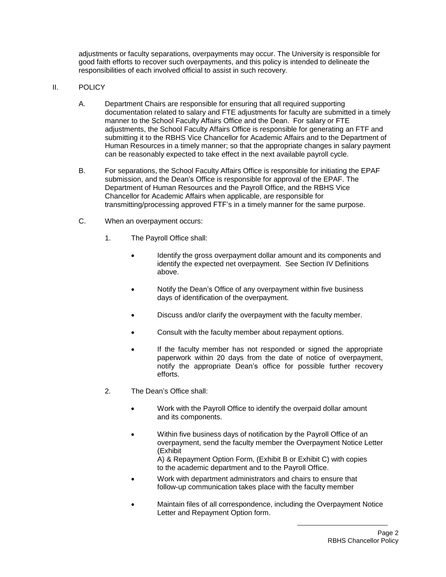adjustments or faculty separations, overpayments may occur. The University is responsible for good faith efforts to recover such overpayments, and this policy is intended to delineate the responsibilities of each involved official to assist in such recovery.

### II. POLICY

- A. Department Chairs are responsible for ensuring that all required supporting documentation related to salary and FTE adjustments for faculty are submitted in a timely manner to the School Faculty Affairs Office and the Dean. For salary or FTE adjustments, the School Faculty Affairs Office is responsible for generating an FTF and submitting it to the RBHS Vice Chancellor for Academic Affairs and to the Department of Human Resources in a timely manner; so that the appropriate changes in salary payment can be reasonably expected to take effect in the next available payroll cycle.
- B. For separations, the School Faculty Affairs Office is responsible for initiating the EPAF submission, and the Dean's Office is responsible for approval of the EPAF. The Department of Human Resources and the Payroll Office, and the RBHS Vice Chancellor for Academic Affairs when applicable, are responsible for transmitting/processing approved FTF's in a timely manner for the same purpose.
- C. When an overpayment occurs:
	- 1. The Payroll Office shall:
		- Identify the gross overpayment dollar amount and its components and identify the expected net overpayment. See Section IV Definitions above.
		- Notify the Dean's Office of any overpayment within five business days of identification of the overpayment.
		- Discuss and/or clarify the overpayment with the faculty member.
		- Consult with the faculty member about repayment options.
		- If the faculty member has not responded or signed the appropriate paperwork within 20 days from the date of notice of overpayment, notify the appropriate Dean's office for possible further recovery efforts.
	- 2. The Dean's Office shall:
		- Work with the Payroll Office to identify the overpaid dollar amount and its components.
		- Within five business days of notification by the Payroll Office of an overpayment, send the faculty member the Overpayment Notice Letter (Exhibit A) & Repayment Option Form, (Exhibit B or Exhibit C) with copies to the academic department and to the Payroll Office.
		- Work with department administrators and chairs to ensure that follow-up communication takes place with the faculty member
		- Maintain files of all correspondence, including the Overpayment Notice Letter and Repayment Option form.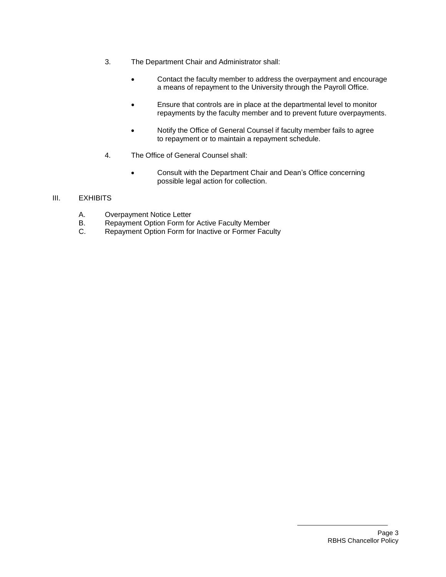- 3. The Department Chair and Administrator shall:
	- Contact the faculty member to address the overpayment and encourage a means of repayment to the University through the Payroll Office.
	- Ensure that controls are in place at the departmental level to monitor repayments by the faculty member and to prevent future overpayments.
	- Notify the Office of General Counsel if faculty member fails to agree to repayment or to maintain a repayment schedule.
- 4. The Office of General Counsel shall:
	- Consult with the Department Chair and Dean's Office concerning possible legal action for collection.

# III. EXHIBITS

- A. Overpayment Notice Letter
- B. Repayment Option Form for Active Faculty Member
- C. Repayment Option Form for Inactive or Former Faculty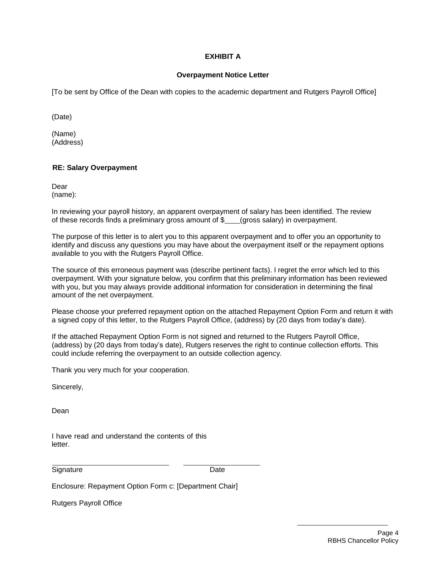# **EXHIBIT A**

### **Overpayment Notice Letter**

[To be sent by Office of the Dean with copies to the academic department and Rutgers Payroll Office]

(Date)

(Name) (Address)

## **RE: Salary Overpayment**

Dear (name):

In reviewing your payroll history, an apparent overpayment of salary has been identified. The review of these records finds a preliminary gross amount of  $\$$  (gross salary) in overpayment.

The purpose of this letter is to alert you to this apparent overpayment and to offer you an opportunity to identify and discuss any questions you may have about the overpayment itself or the repayment options available to you with the Rutgers Payroll Office.

The source of this erroneous payment was (describe pertinent facts). I regret the error which led to this overpayment. With your signature below, you confirm that this preliminary information has been reviewed with you, but you may always provide additional information for consideration in determining the final amount of the net overpayment.

Please choose your preferred repayment option on the attached Repayment Option Form and return it with a signed copy of this letter, to the Rutgers Payroll Office, (address) by (20 days from today's date).

If the attached Repayment Option Form is not signed and returned to the Rutgers Payroll Office, (address) by (20 days from today's date), Rutgers reserves the right to continue collection efforts. This could include referring the overpayment to an outside collection agency.

Thank you very much for your cooperation.

Sincerely,

Dean

I have read and understand the contents of this letter.

Signature Date

Enclosure: Repayment Option Form c: [Department Chair]

Rutgers Payroll Office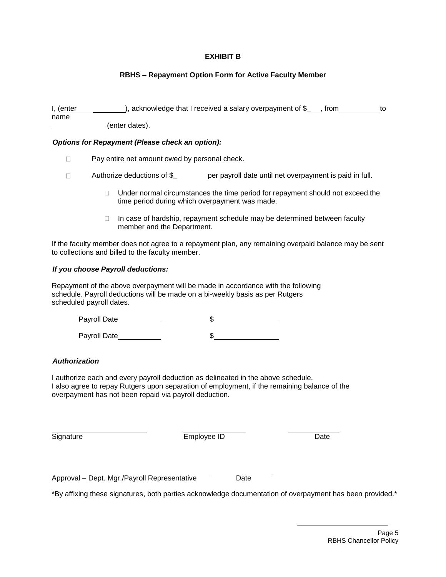## **EXHIBIT B**

## **RBHS – Repayment Option Form for Active Faculty Member**

I, (enter name ), acknowledge that I received a salary overpayment of  $\frac{1}{2}$ , from to (enter dates).

### *Options for Repayment (Please check an option):*

- Pay entire net amount owed by personal check.  $\Box$
- $\Box$ Authorize deductions of \$\_\_\_\_\_\_\_\_\_\_ per payroll date until net overpayment is paid in full.
	- $\Box$  Under normal circumstances the time period for repayment should not exceed the time period during which overpayment was made.
	- $\Box$  In case of hardship, repayment schedule may be determined between faculty member and the Department.

If the faculty member does not agree to a repayment plan, any remaining overpaid balance may be sent to collections and billed to the faculty member.

### *If you choose Payroll deductions:*

Repayment of the above overpayment will be made in accordance with the following schedule. Payroll deductions will be made on a bi-weekly basis as per Rutgers scheduled payroll dates.

| Payroll Date |  |
|--------------|--|
| Payroll Date |  |

### *Authorization*

I authorize each and every payroll deduction as delineated in the above schedule. I also agree to repay Rutgers upon separation of employment, if the remaining balance of the overpayment has not been repaid via payroll deduction.

Signature **Employee ID** Date

Approval – Dept. Mgr./Payroll Representative Date

\*By affixing these signatures, both parties acknowledge documentation of overpayment has been provided.\*